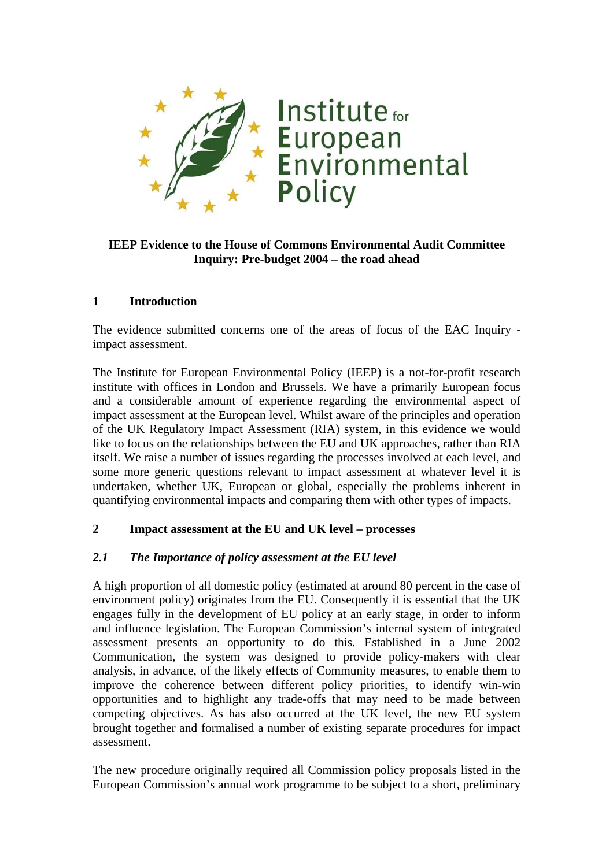

# **IEEP Evidence to the House of Commons Environmental Audit Committee Inquiry: Pre-budget 2004 – the road ahead**

## **1 Introduction**

The evidence submitted concerns one of the areas of focus of the EAC Inquiry impact assessment.

The Institute for European Environmental Policy (IEEP) is a not-for-profit research institute with offices in London and Brussels. We have a primarily European focus and a considerable amount of experience regarding the environmental aspect of impact assessment at the European level. Whilst aware of the principles and operation of the UK Regulatory Impact Assessment (RIA) system, in this evidence we would like to focus on the relationships between the EU and UK approaches, rather than RIA itself. We raise a number of issues regarding the processes involved at each level, and some more generic questions relevant to impact assessment at whatever level it is undertaken, whether UK, European or global, especially the problems inherent in quantifying environmental impacts and comparing them with other types of impacts.

## **2 Impact assessment at the EU and UK level – processes**

## *2.1 The Importance of policy assessment at the EU level*

A high proportion of all domestic policy (estimated at around 80 percent in the case of environment policy) originates from the EU. Consequently it is essential that the UK engages fully in the development of EU policy at an early stage, in order to inform and influence legislation. The European Commission's internal system of integrated assessment presents an opportunity to do this. Established in a June 2002 Communication, the system was designed to provide policy-makers with clear analysis, in advance, of the likely effects of Community measures, to enable them to improve the coherence between different policy priorities, to identify win-win opportunities and to highlight any trade-offs that may need to be made between competing objectives. As has also occurred at the UK level, the new EU system brought together and formalised a number of existing separate procedures for impact assessment.

The new procedure originally required all Commission policy proposals listed in the European Commission's annual work programme to be subject to a short, preliminary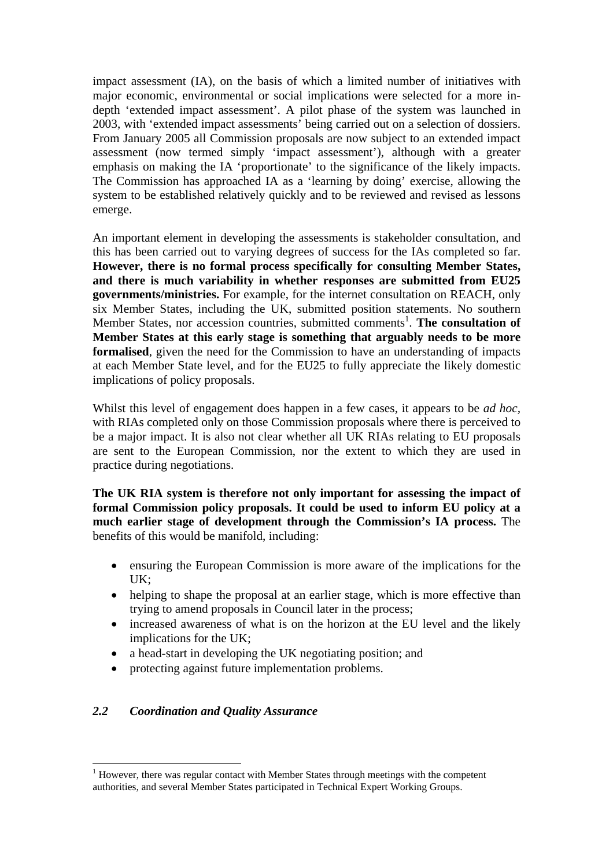impact assessment (IA), on the basis of which a limited number of initiatives with major economic, environmental or social implications were selected for a more indepth 'extended impact assessment'. A pilot phase of the system was launched in 2003, with 'extended impact assessments' being carried out on a selection of dossiers. From January 2005 all Commission proposals are now subject to an extended impact assessment (now termed simply 'impact assessment'), although with a greater emphasis on making the IA 'proportionate' to the significance of the likely impacts. The Commission has approached IA as a 'learning by doing' exercise, allowing the system to be established relatively quickly and to be reviewed and revised as lessons emerge.

An important element in developing the assessments is stakeholder consultation, and this has been carried out to varying degrees of success for the IAs completed so far. **However, there is no formal process specifically for consulting Member States, and there is much variability in whether responses are submitted from EU25 governments/ministries.** For example, for the internet consultation on REACH, only six Member States, including the UK, submitted position statements. No southern Member States, nor accession countries, submitted comments<sup>1</sup>. The consultation of **Member States at this early stage is something that arguably needs to be more formalised**, given the need for the Commission to have an understanding of impacts at each Member State level, and for the EU25 to fully appreciate the likely domestic implications of policy proposals.

Whilst this level of engagement does happen in a few cases, it appears to be *ad hoc,*  with RIAs completed only on those Commission proposals where there is perceived to be a major impact. It is also not clear whether all UK RIAs relating to EU proposals are sent to the European Commission, nor the extent to which they are used in practice during negotiations.

**The UK RIA system is therefore not only important for assessing the impact of formal Commission policy proposals. It could be used to inform EU policy at a much earlier stage of development through the Commission's IA process.** The benefits of this would be manifold, including:

- ensuring the European Commission is more aware of the implications for the UK;
- helping to shape the proposal at an earlier stage, which is more effective than trying to amend proposals in Council later in the process;
- increased awareness of what is on the horizon at the EU level and the likely implications for the UK;
- a head-start in developing the UK negotiating position; and
- protecting against future implementation problems.

## *2.2 Coordination and Quality Assurance*

 $\overline{a}$  $<sup>1</sup>$  However, there was regular contact with Member States through meetings with the competent</sup> authorities, and several Member States participated in Technical Expert Working Groups.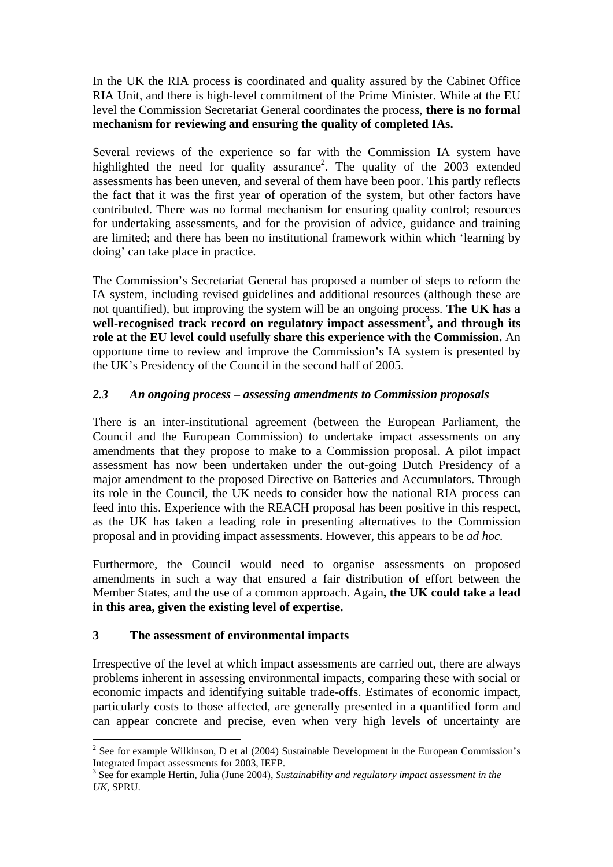In the UK the RIA process is coordinated and quality assured by the Cabinet Office RIA Unit, and there is high-level commitment of the Prime Minister. While at the EU level the Commission Secretariat General coordinates the process, **there is no formal mechanism for reviewing and ensuring the quality of completed IAs.** 

Several reviews of the experience so far with the Commission IA system have highlighted the need for quality assurance<sup>2</sup>. The quality of the  $2003$  extended assessments has been uneven, and several of them have been poor. This partly reflects the fact that it was the first year of operation of the system, but other factors have contributed. There was no formal mechanism for ensuring quality control; resources for undertaking assessments, and for the provision of advice, guidance and training are limited; and there has been no institutional framework within which 'learning by doing' can take place in practice.

The Commission's Secretariat General has proposed a number of steps to reform the IA system, including revised guidelines and additional resources (although these are not quantified), but improving the system will be an ongoing process. **The UK has a**  well-recognised track record on regulatory impact assessment<sup>3</sup>, and through its **role at the EU level could usefully share this experience with the Commission.** An opportune time to review and improve the Commission's IA system is presented by the UK's Presidency of the Council in the second half of 2005.

# *2.3 An ongoing process – assessing amendments to Commission proposals*

There is an inter-institutional agreement (between the European Parliament, the Council and the European Commission) to undertake impact assessments on any amendments that they propose to make to a Commission proposal. A pilot impact assessment has now been undertaken under the out-going Dutch Presidency of a major amendment to the proposed Directive on Batteries and Accumulators. Through its role in the Council, the UK needs to consider how the national RIA process can feed into this. Experience with the REACH proposal has been positive in this respect, as the UK has taken a leading role in presenting alternatives to the Commission proposal and in providing impact assessments. However, this appears to be *ad hoc.* 

Furthermore, the Council would need to organise assessments on proposed amendments in such a way that ensured a fair distribution of effort between the Member States, and the use of a common approach. Again**, the UK could take a lead in this area, given the existing level of expertise.** 

## **3 The assessment of environmental impacts**

 $\overline{a}$ 

Irrespective of the level at which impact assessments are carried out, there are always problems inherent in assessing environmental impacts, comparing these with social or economic impacts and identifying suitable trade-offs. Estimates of economic impact, particularly costs to those affected, are generally presented in a quantified form and can appear concrete and precise, even when very high levels of uncertainty are

 $2^{2}$  See for example Wilkinson, D et al (2004) Sustainable Development in the European Commission's Integrated Impact assessments for 2003, IEEP.

<sup>3</sup> See for example Hertin, Julia (June 2004), *Sustainability and regulatory impact assessment in the UK*, SPRU.